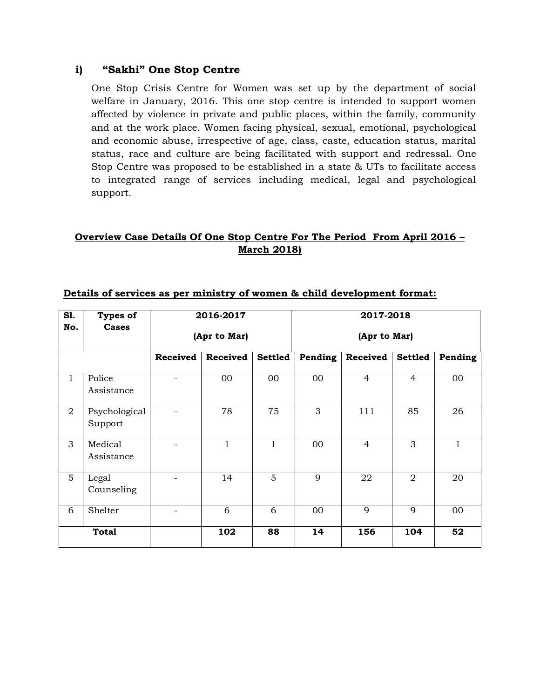#### **i) "Sakhi" One Stop Centre**

One Stop Crisis Centre for Women was set up by the department of social welfare in January, 2016. This one stop centre is intended to support women affected by violence in private and public places, within the family, community and at the work place. Women facing physical, sexual, emotional, psychological and economic abuse, irrespective of age, class, caste, education status, marital status, race and culture are being facilitated with support and redressal. One Stop Centre was proposed to be established in a state & UTs to facilitate access to integrated range of services including medical, legal and psychological support.

### **Overview Case Details Of One Stop Centre For The Period From April 2016 – March 2018)**

| S1.            | <b>Types of</b>          | 2016-2017                |                 | 2017-2018      |              |                |                |              |
|----------------|--------------------------|--------------------------|-----------------|----------------|--------------|----------------|----------------|--------------|
| No.            | <b>Cases</b>             | (Apr to Mar)             |                 |                | (Apr to Mar) |                |                |              |
|                |                          | <b>Received</b>          | <b>Received</b> | <b>Settled</b> | Pending      | Received       | <b>Settled</b> | Pending      |
| $\mathbf 1$    | Police<br>Assistance     |                          | $00\,$          | 00             | $00\,$       | $\overline{4}$ | $\overline{4}$ | 00           |
| $\overline{2}$ | Psychological<br>Support |                          | 78              | 75             | 3            | 111            | 85             | 26           |
| 3              | Medical<br>Assistance    | $\overline{\phantom{a}}$ | $\mathbf{1}$    | $\mathbf{1}$   | 00           | $\overline{4}$ | 3              | $\mathbf{1}$ |
| 5              | Legal<br>Counseling      |                          | 14              | 5              | 9            | 22             | 2              | 20           |
| 6              | Shelter                  |                          | 6               | 6              | 00           | 9              | 9              | $00\,$       |
|                | <b>Total</b>             |                          | 102             | 88             | 14           | 156            | 104            | 52           |

#### **Details of services as per ministry of women & child development format:**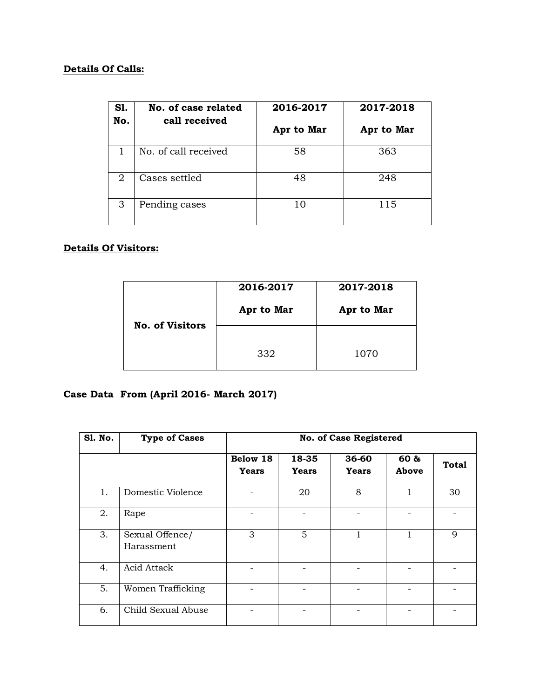## **Details Of Calls:**

| <b>S1.</b><br>No. | No. of case related<br>call received | 2016-2017  | 2017-2018  |  |  |
|-------------------|--------------------------------------|------------|------------|--|--|
|                   |                                      | Apr to Mar | Apr to Mar |  |  |
| 1                 | No. of call received                 | 58         | 363        |  |  |
| 2                 | Cases settled                        | 48         | 248        |  |  |
| 3                 | Pending cases                        | 10         | 115        |  |  |

### **Details Of Visitors:**

|                        | 2016-2017  | 2017-2018  |
|------------------------|------------|------------|
| <b>No. of Visitors</b> | Apr to Mar | Apr to Mar |
|                        | 332        | 1070       |

# **Case Data From (April 2016- March 2017)**

| <b>S1. No.</b> | <b>Type of Cases</b>          | <b>No. of Case Registered</b> |                       |                           |               |              |  |  |
|----------------|-------------------------------|-------------------------------|-----------------------|---------------------------|---------------|--------------|--|--|
|                |                               | Below 18<br><b>Years</b>      | 18-35<br><b>Years</b> | $36 - 60$<br><b>Years</b> | 60 &<br>Above | <b>Total</b> |  |  |
| 1.             | Domestic Violence             |                               | 20                    | 8                         | 1             | 30           |  |  |
| 2.             | Rape                          |                               |                       |                           |               |              |  |  |
| 3.             | Sexual Offence/<br>Harassment | 3                             | 5                     |                           | 1             | 9            |  |  |
| 4.             | Acid Attack                   |                               |                       |                           |               |              |  |  |
| 5.             | Women Trafficking             |                               |                       |                           |               |              |  |  |
| 6.             | Child Sexual Abuse            |                               |                       |                           |               |              |  |  |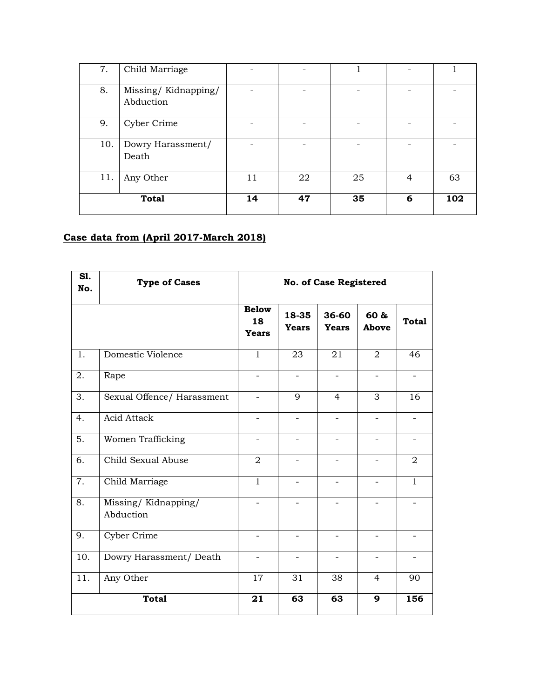| 7.           | Child Marriage                   |    |    |    |                |     |
|--------------|----------------------------------|----|----|----|----------------|-----|
| 8.           | Missing/Kidnapping/<br>Abduction |    |    |    |                |     |
| 9.           | Cyber Crime                      |    |    |    |                |     |
| 10.          | Dowry Harassment/<br>Death       |    |    |    |                |     |
| 11.          | Any Other                        | 11 | 22 | 25 | $\overline{4}$ | 63  |
| <b>Total</b> |                                  | 14 | 47 | 35 | 6              | 102 |

# **Case data from (April 2017-March 2018)**

| S1.<br>No.       | <b>Type of Cases</b>             | <b>No. of Case Registered</b>      |                          |                          |                          |                          |  |
|------------------|----------------------------------|------------------------------------|--------------------------|--------------------------|--------------------------|--------------------------|--|
|                  |                                  | <b>Below</b><br>18<br><b>Years</b> | 18-35<br><b>Years</b>    | 36-60<br><b>Years</b>    | 60 &<br>Above            | <b>Total</b>             |  |
| 1.               | Domestic Violence                | $\mathbf{1}$                       | 23                       | 21                       | 2                        | 46                       |  |
| 2.               | Rape                             | $\overline{\phantom{0}}$           |                          |                          |                          |                          |  |
| 3.               | Sexual Offence/ Harassment       | $\overline{\phantom{0}}$           | 9                        | $\overline{4}$           | 3                        | 16                       |  |
| 4.               | <b>Acid Attack</b>               | $\overline{\phantom{0}}$           | -                        |                          | -                        |                          |  |
| 5.               | Women Trafficking                | $\qquad \qquad -$                  | $\overline{\phantom{0}}$ |                          | -                        |                          |  |
| $\overline{6}$ . | Child Sexual Abuse               | 2                                  | $\overline{\phantom{0}}$ |                          | $\overline{\phantom{0}}$ | 2                        |  |
| 7.               | Child Marriage                   | $\mathbf{1}$                       |                          |                          |                          | $\mathbf{1}$             |  |
| 8.               | Missing/Kidnapping/<br>Abduction | $\overline{\phantom{0}}$           |                          |                          |                          |                          |  |
| 9.               | Cyber Crime                      | $\overline{\phantom{0}}$           | $\overline{\phantom{a}}$ | $\overline{\phantom{a}}$ | $\overline{\phantom{a}}$ | $\overline{\phantom{a}}$ |  |
| 10.              | Dowry Harassment/ Death          | $\qquad \qquad -$                  | $\qquad \qquad -$        | $\overline{\phantom{0}}$ | $\overline{\phantom{a}}$ |                          |  |
| 11.              | Any Other                        | 17                                 | 31                       | 38                       | $\overline{4}$           | 90                       |  |
|                  | <b>Total</b>                     | 21                                 | 63                       | 63                       | 9                        | 156                      |  |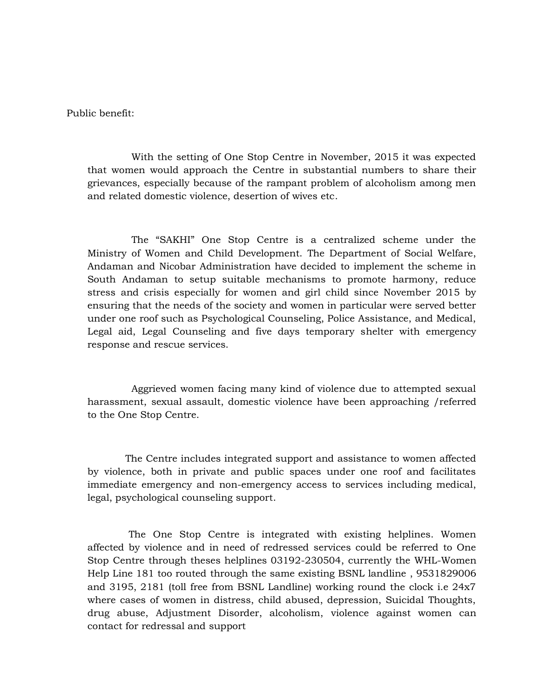Public benefit:

 With the setting of One Stop Centre in November, 2015 it was expected that women would approach the Centre in substantial numbers to share their grievances, especially because of the rampant problem of alcoholism among men and related domestic violence, desertion of wives etc.

 The "SAKHI" One Stop Centre is a centralized scheme under the Ministry of Women and Child Development. The Department of Social Welfare, Andaman and Nicobar Administration have decided to implement the scheme in South Andaman to setup suitable mechanisms to promote harmony, reduce stress and crisis especially for women and girl child since November 2015 by ensuring that the needs of the society and women in particular were served better under one roof such as Psychological Counseling, Police Assistance, and Medical, Legal aid, Legal Counseling and five days temporary shelter with emergency response and rescue services.

 Aggrieved women facing many kind of violence due to attempted sexual harassment, sexual assault, domestic violence have been approaching /referred to the One Stop Centre.

 The Centre includes integrated support and assistance to women affected by violence, both in private and public spaces under one roof and facilitates immediate emergency and non-emergency access to services including medical, legal, psychological counseling support.

 The One Stop Centre is integrated with existing helplines. Women affected by violence and in need of redressed services could be referred to One Stop Centre through theses helplines 03192-230504, currently the WHL-Women Help Line 181 too routed through the same existing BSNL landline , 9531829006 and 3195, 2181 (toll free from BSNL Landline) working round the clock i.e 24x7 where cases of women in distress, child abused, depression, Suicidal Thoughts, drug abuse, Adjustment Disorder, alcoholism, violence against women can contact for redressal and support